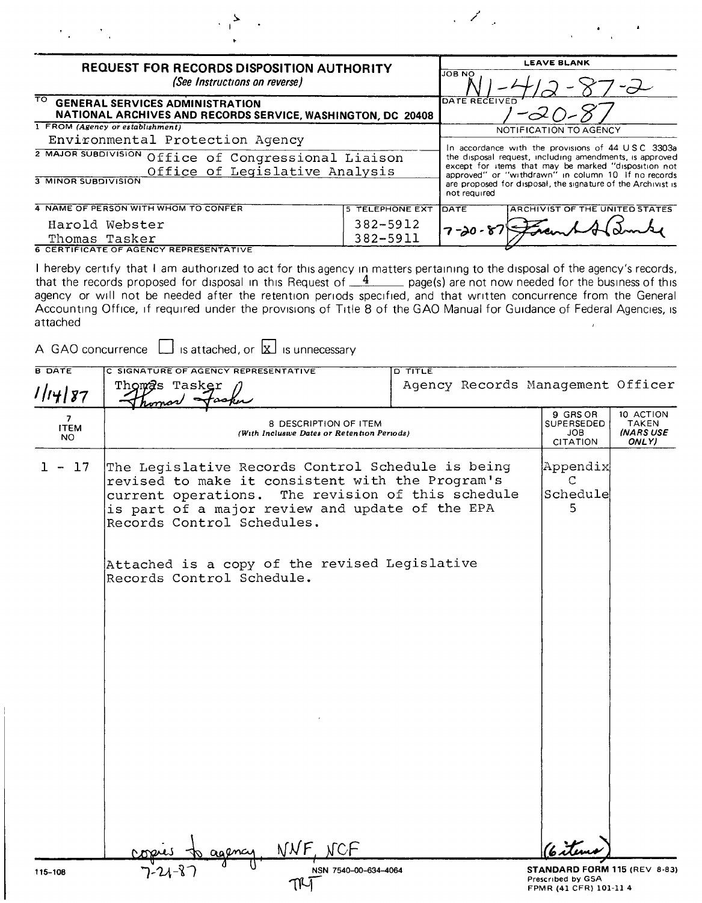|                                                                                                                     | <b>REQUEST FOR RECORDS DISPOSITION AUTHORITY</b>                                                                                                                                                                                                                                                                                                                                                                                                                                                                                                                                                                   |                      |                | <b>JOB NO</b>                                                                                                                                                                                                                                          | <b>LEAVE BLANK</b>                                                          |                                                 |  |
|---------------------------------------------------------------------------------------------------------------------|--------------------------------------------------------------------------------------------------------------------------------------------------------------------------------------------------------------------------------------------------------------------------------------------------------------------------------------------------------------------------------------------------------------------------------------------------------------------------------------------------------------------------------------------------------------------------------------------------------------------|----------------------|----------------|--------------------------------------------------------------------------------------------------------------------------------------------------------------------------------------------------------------------------------------------------------|-----------------------------------------------------------------------------|-------------------------------------------------|--|
| то                                                                                                                  | (See Instructions on reverse)<br><b>GENERAL SERVICES ADMINISTRATION</b>                                                                                                                                                                                                                                                                                                                                                                                                                                                                                                                                            |                      |                | DATE RECEIVED                                                                                                                                                                                                                                          |                                                                             |                                                 |  |
|                                                                                                                     | NATIONAL ARCHIVES AND RECORDS SERVICE, WASHINGTON, DC 20408<br>1 FROM (Agency or establishment)                                                                                                                                                                                                                                                                                                                                                                                                                                                                                                                    |                      |                |                                                                                                                                                                                                                                                        |                                                                             |                                                 |  |
|                                                                                                                     | Environmental Protection Agency                                                                                                                                                                                                                                                                                                                                                                                                                                                                                                                                                                                    |                      |                | In accordance with the provisions of 44 USC 3303a                                                                                                                                                                                                      | NOTIFICATION TO AGENCY                                                      |                                                 |  |
| 2 MAJOR SUBDIVISION Office of Congressional Liaison<br>Office of Legislative Analysis<br><b>3 MINOR SUBDIVISION</b> |                                                                                                                                                                                                                                                                                                                                                                                                                                                                                                                                                                                                                    |                      |                | the disposal request, including amendments, is approved<br>except for items that may be marked "disposition not<br>approved" or "withdrawn" in column 10 If no records<br>are proposed for disposal, the signature of the Archivist is<br>not required |                                                                             |                                                 |  |
| 4 NAME OF PERSON WITH WHOM TO CONFER<br><b>5 TELEPHONE EXT</b><br><b>DATE</b><br>382-5912<br>Harold Webster         |                                                                                                                                                                                                                                                                                                                                                                                                                                                                                                                                                                                                                    |                      |                |                                                                                                                                                                                                                                                        | <b>ARCHIVIST OF THE UNITED STATES</b>                                       |                                                 |  |
|                                                                                                                     | Thomas Tasker<br><b>6 CERTIFICATE OF AGENCY REPRESENTATIVE</b>                                                                                                                                                                                                                                                                                                                                                                                                                                                                                                                                                     | 382-5911             |                | 7-20-87                                                                                                                                                                                                                                                |                                                                             |                                                 |  |
| attached<br><b>B DATE</b>                                                                                           | I hereby certify that I am authorized to act for this agency in matters pertaining to the disposal of the agency's records,<br>that the records proposed for disposal in this Request of $\frac{4}{1}$ page(s) are not now needed for the business of this<br>agency or will not be needed after the retention periods specified, and that written concurrence from the General<br>Accounting Office, if required under the provisions of Title 8 of the GAO Manual for Guidance of Federal Agencies, is<br>A GAO concurrence $\Box$ is attached, or $\Box$ is unnecessary<br>C SIGNATURE OF AGENCY REPRESENTATIVE |                      | <b>D</b> TITLE |                                                                                                                                                                                                                                                        |                                                                             |                                                 |  |
| 1/14/87                                                                                                             | Thomas Tasker                                                                                                                                                                                                                                                                                                                                                                                                                                                                                                                                                                                                      |                      |                | Agency Records Management Officer                                                                                                                                                                                                                      |                                                                             |                                                 |  |
| 7<br><b>ITEM</b><br>NO.                                                                                             | omas<br>8 DESCRIPTION OF ITEM<br>(With Inclusive Dates or Retention Periods)                                                                                                                                                                                                                                                                                                                                                                                                                                                                                                                                       |                      |                |                                                                                                                                                                                                                                                        | 9 GRS OR<br>SUPERSEDED<br><b>JOB</b><br><b>CITATION</b>                     | 10 ACTION<br><b>TAKEN</b><br>(NARS USE<br>ONLY) |  |
| 17                                                                                                                  | The Legislative Records Control Schedule is being<br>revised to make it consistent with the Program's<br>current operations.<br>is part of a major review and update of the EPA<br>Records Control Schedules.<br>Attached is a copy of the revised Legislative<br>Records Control Schedule.                                                                                                                                                                                                                                                                                                                        |                      |                | The revision of this schedule                                                                                                                                                                                                                          | Appendix<br>C<br>Schedule<br>5                                              |                                                 |  |
| 115-108                                                                                                             | NNF.                                                                                                                                                                                                                                                                                                                                                                                                                                                                                                                                                                                                               | NSN 7540-00-634-4064 |                |                                                                                                                                                                                                                                                        | STANDARD FORM 115 (REV 8-83)<br>Prescribed by GSA<br>FPMR (41 CFR) 101-11 4 |                                                 |  |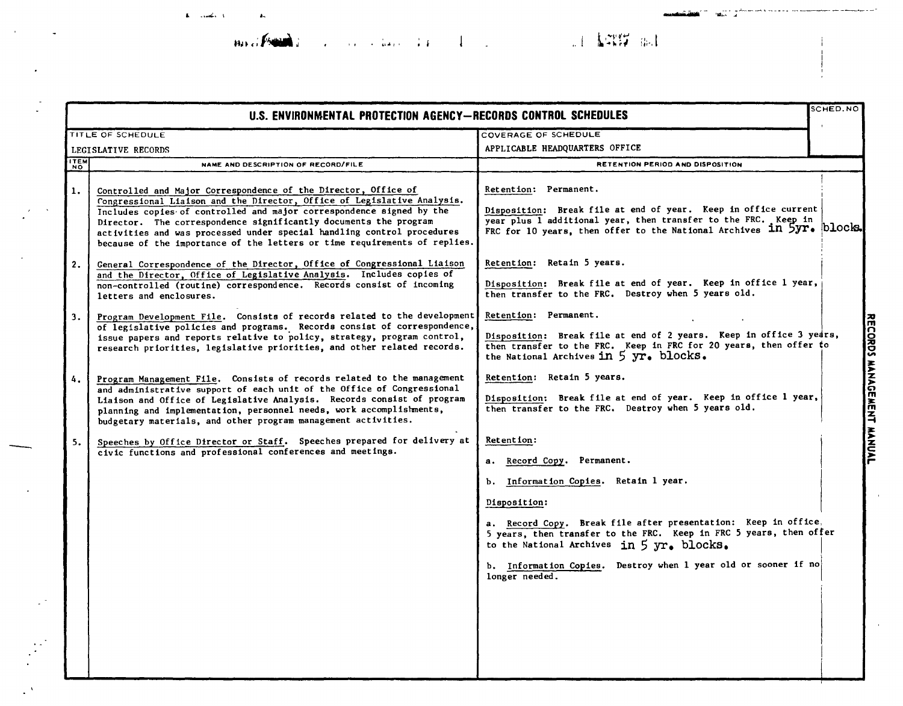ms of Pound ;  $\mathcal{L}$  $\mathcal{L}^{\text{max}}_{\text{max}} = \mathcal{L}^{\text{max}}_{\text{max}} = \mathcal{L}^{\text{max}}_{\text{max}} = \mathcal{L}^{\text{max}}_{\text{max}}$ 

 $\frac{1}{2}$  . The construction of  $\frac{1}{2}$  ,  $\frac{1}{2}$  ,  $\frac{1}{2}$  ,  $\frac{1}{2}$  ,  $\frac{1}{2}$  ,  $\frac{1}{2}$  ,  $\frac{1}{2}$  ,  $\frac{1}{2}$  ,  $\frac{1}{2}$  ,  $\frac{1}{2}$  ,  $\frac{1}{2}$  ,  $\frac{1}{2}$  ,  $\frac{1}{2}$  ,  $\frac{1}{2}$  ,  $\frac{1}{2}$  ,  $\frac{1}{2}$ 

|      | U.S. ENVIRONMENTAL PROTECTION AGENCY-RECORDS CONTROL SCHEDULES                                                                                                                                                                                                                                                                                                                                                                               |                                                                                                                                                                                                                                   | SCHED.NO |
|------|----------------------------------------------------------------------------------------------------------------------------------------------------------------------------------------------------------------------------------------------------------------------------------------------------------------------------------------------------------------------------------------------------------------------------------------------|-----------------------------------------------------------------------------------------------------------------------------------------------------------------------------------------------------------------------------------|----------|
|      | TITLE OF SCHEDULE                                                                                                                                                                                                                                                                                                                                                                                                                            | COVERAGE OF SCHEDULE                                                                                                                                                                                                              |          |
|      | LEGISLATIVE RECORDS                                                                                                                                                                                                                                                                                                                                                                                                                          | APPLICABLE HEADQUARTERS OFFICE                                                                                                                                                                                                    |          |
| ITEM | NAME AND DESCRIPTION OF RECORD/FILE                                                                                                                                                                                                                                                                                                                                                                                                          | RETENTION PERIOD AND DISPOSITION                                                                                                                                                                                                  |          |
| 1.   | Controlled and Major Correspondence of the Director, Office of<br>Congressional Liaison and the Director, Office of Legislative Analysis.<br>Includes copies of controlled and major correspondence signed by the<br>Director. The correspondence significantly documents the program<br>activities and was processed under special handling control procedures<br>because of the importance of the letters or time requirements of replies. | Retention: Permanent.<br>Disposition: Break file at end of year. Keep in office current<br>year plus 1 additional year, then transfer to the FRC. Keep in<br>FRC for 10 years, then offer to the National Archives in 5yr. block. |          |
| 2.   | General Correspondence of the Director, Office of Congressional Liaison<br>and the Director, Office of Legislative Analysis. Includes copies of<br>non-controlled (routine) correspondence. Records consist of incoming<br>letters and enclosures.                                                                                                                                                                                           | Retention: Retain 5 years.<br>Disposition: Break file at end of year. Keep in office 1 year,<br>then transfer to the FRC. Destroy when 5 years old.                                                                               |          |
| 3.   | Program Development File. Consists of records related to the development<br>of legislative policies and programs. Records consist of correspondence,<br>issue papers and reports relative to policy, strategy, program control,<br>research priorities, legislative priorities, and other related records.                                                                                                                                   | Retention: Permanent.<br>Disposition: Break file at end of 2 years. Keep in office 3 years,<br>then transfer to the FRC. Keep in FRC for 20 years, then offer to<br>the National Archives in 5 yr. blocks.                        |          |
| 4.   | Program Management File. Consists of records related to the management<br>and administrative support of each unit of the Office of Congressional<br>Liaison and Office of Legislative Analysis. Records consist of program<br>planning and implementation, personnel needs, work accomplishments,<br>budgetary materials, and other program management activities.                                                                           | Retention: Retain 5 years.<br>Disposition: Break file at end of year. Keep in office 1 year,<br>then transfer to the FRC. Destroy when 5 years old.                                                                               |          |
| 5.   | Speeches by Office Director or Staff. Speeches prepared for delivery at<br>civic functions and professional conferences and meetings.                                                                                                                                                                                                                                                                                                        | Retention:<br>a. Record Copy. Permanent.                                                                                                                                                                                          |          |
|      |                                                                                                                                                                                                                                                                                                                                                                                                                                              | b. Information Copies. Retain 1 year.                                                                                                                                                                                             |          |
|      |                                                                                                                                                                                                                                                                                                                                                                                                                                              | Disposition:                                                                                                                                                                                                                      |          |
|      |                                                                                                                                                                                                                                                                                                                                                                                                                                              | a. Record Copy. Break file after presentation: Keep in office,<br>5 years, then transfer to the FRC. Keep in FRC 5 years, then offer<br>to the National Archives in $5 \text{ yr}$ . blocks.                                      |          |
|      |                                                                                                                                                                                                                                                                                                                                                                                                                                              | b. Information Copies. Destroy when 1 year old or sooner if no<br>longer needed.                                                                                                                                                  |          |
|      |                                                                                                                                                                                                                                                                                                                                                                                                                                              |                                                                                                                                                                                                                                   |          |
|      |                                                                                                                                                                                                                                                                                                                                                                                                                                              |                                                                                                                                                                                                                                   |          |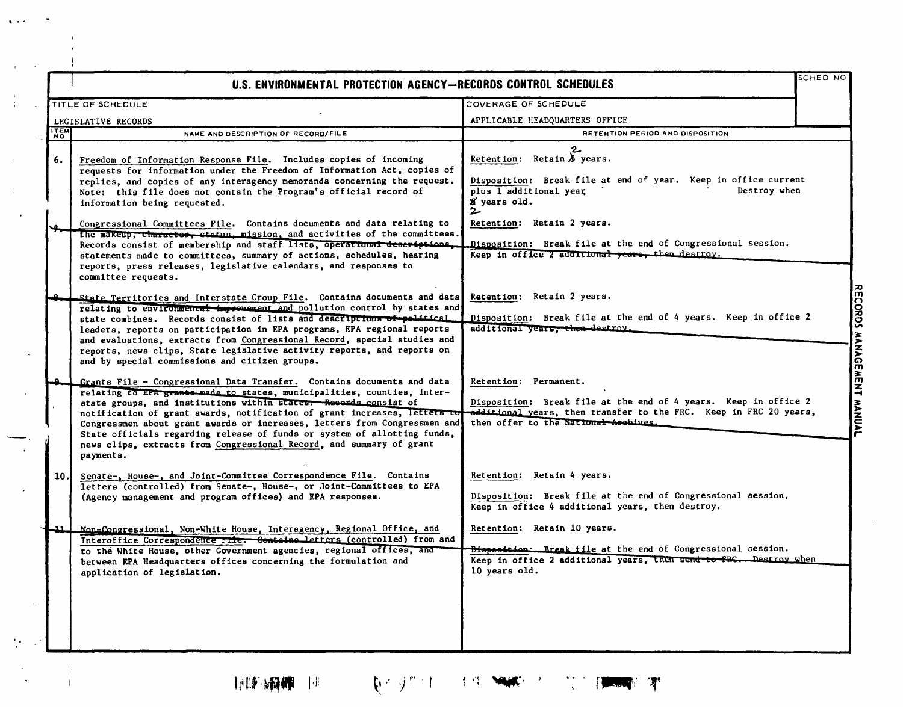|             | U.S. ENVIRONMENTAL PROTECTION AGENCY-RECORDS CONTROL SCHEDULES                                                                                                                                                                                                                                                                                                                                                                                                                                                                                  |                                                                                                                                                                                                       |  |  |  |
|-------------|-------------------------------------------------------------------------------------------------------------------------------------------------------------------------------------------------------------------------------------------------------------------------------------------------------------------------------------------------------------------------------------------------------------------------------------------------------------------------------------------------------------------------------------------------|-------------------------------------------------------------------------------------------------------------------------------------------------------------------------------------------------------|--|--|--|
|             | TITLE OF SCHEDULE                                                                                                                                                                                                                                                                                                                                                                                                                                                                                                                               | COVERAGE OF SCHEDULE                                                                                                                                                                                  |  |  |  |
|             | LEGISLATIVE RECORDS                                                                                                                                                                                                                                                                                                                                                                                                                                                                                                                             | APPLICABLE HEADQUARTERS OFFICE                                                                                                                                                                        |  |  |  |
| <b>ITEM</b> | NAME AND DESCRIPTION OF RECORD/FILE                                                                                                                                                                                                                                                                                                                                                                                                                                                                                                             | RETENTION PERIOD AND DISPOSITION                                                                                                                                                                      |  |  |  |
| 6.          | Freedom of Information Response File. Includes copies of incoming<br>requests for information under the Freedom of Information Act, copies of<br>replies, and copies of any interagency memoranda concerning the request.<br>Note: this file does not contain the Program's official record of<br>information being requested.                                                                                                                                                                                                                  | $\mathbf{z}$<br>Retention: Retain $\lambda$ years.<br>Disposition: Break file at end of year. Keep in office current<br>Destroy when<br>plus 1 additional year<br>X years old.                        |  |  |  |
|             | Congressional Committees File. Contains documents and data relating to<br>the makeup, character, status, mission, and activities of the committees<br>Records consist of membership and staff lists, operational descriptions,<br>statements made to committees, summary of actions, schedules, hearing<br>reports, press releases, legislative calendars, and responses to<br>committee requests.                                                                                                                                              | Retention: Retain 2 years.<br>Disposition: Break file at the end of Congressional session.<br>Keep in office 2 additional years, then destroy.                                                        |  |  |  |
|             | State Territories and Interstate Group File. Contains documents and data<br>relating to environmental improvement and pollution control by states and<br>state combines. Records consist of lists and descriptions of political<br>leaders, reports on participation in EPA programs, EPA regional reports<br>and evaluations, extracts from Congressional Record, special studies and<br>reports, news clips, State legislative activity reports, and reports on<br>and by special commissions and citizen groups.                             | Retention: Retain 2 years.<br>Disposition: Break file at the end of 4 years. Keep in office 2<br>additional years, then destroy.                                                                      |  |  |  |
|             | Grants File - Congressional Data Transfer. Contains documents and data<br>relating to EPA grants made to states, municipalities, counties, inter-<br>state groups, and institutions within states. Records consist of<br>notification of grant awards, notification of grant increases, letters t<br>Congressmen about grant awards or increases, letters from Congressmen and<br>State officials regarding release of funds or system of allotting funds,<br>news clips, extracts from Congressional Record, and summary of grant<br>payments. | Retention: Permanent.<br>Disposition: Break file at the end of 4 years. Keep in office 2<br>additional years, then transfer to the FRC. Keep in FRC 20 years,<br>then offer to the National Archives. |  |  |  |
| 10.l        | Senate-, House-, and Joint-Committee Correspondence File. Contains<br>letters (controlled) from Senate-, House-, or Joint-Committees to EPA<br>(Agency management and program offices) and EPA responses.                                                                                                                                                                                                                                                                                                                                       | Retention: Retain 4 years.<br>Disposition: Break file at the end of Congressional session.<br>Keep in office 4 additional years, then destroy.                                                        |  |  |  |
|             | Non-Congressional, Non-White House, Interagency, Regional Office, and<br>Interoffice Correspondence File. Contains letters (controlled) from and<br>to the White House, other Government agencies, regional offices, and<br>between EPA Headquarters offices concerning the formulation and<br>application of legislation.                                                                                                                                                                                                                      | Retention: Retain 10 years.<br>Disposition: Rreak file at the end of Congressional session.<br>Keep in office 2 additional years, then send to FRC. Destroy when<br>10 years old.                     |  |  |  |

 $\Delta \sim 10$ 

 $\frac{1}{4}$  .

 $\langle \alpha \rangle$ 

 $\mathbf{u}^{\dagger}$  $\sim$ 

 $\mathcal{A}$ 

 $\sim 10$ 

 $\sim$ 

 $\frac{1}{2} \frac{1}{2} \frac{1}{2}$ 

 $\frac{1}{2}$ 

 $\frac{1}{4}$ 

t . **<sup>1</sup>'"'** ,'1 "I , '1. <sup>I</sup> ,~"), iJll""""'''''''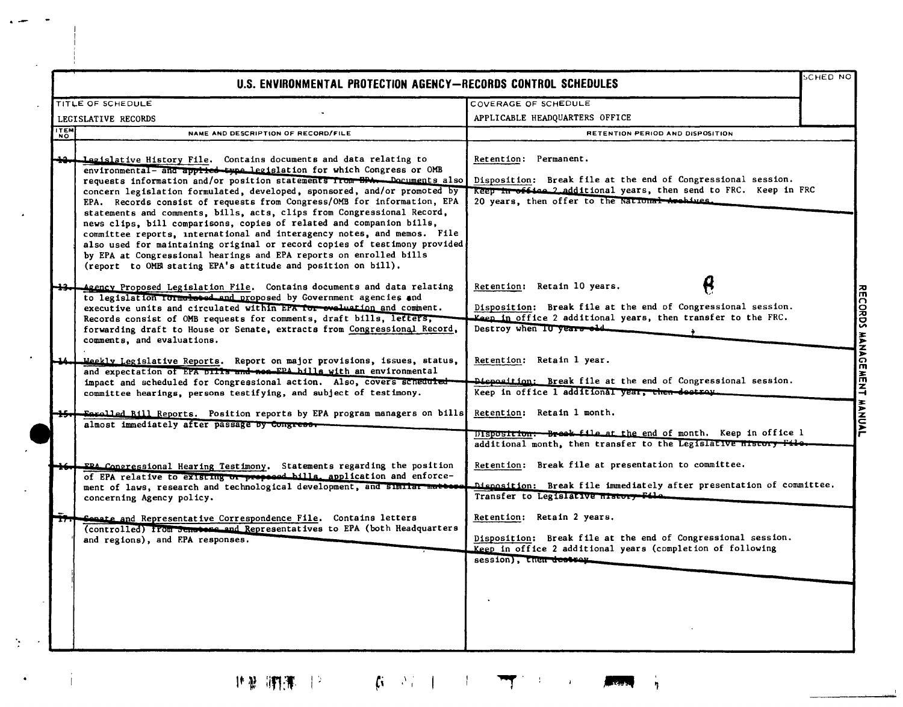|      | U.S. ENVIRONMENTAL PROTECTION AGENCY-RECORDS CONTROL SCHEDULES                                                                                                                                                                                                                                                                                                                                                                                                                                                                                                                                                                                                                                                                                                       |                                                                                                                                                                                                             |  |  |  |
|------|----------------------------------------------------------------------------------------------------------------------------------------------------------------------------------------------------------------------------------------------------------------------------------------------------------------------------------------------------------------------------------------------------------------------------------------------------------------------------------------------------------------------------------------------------------------------------------------------------------------------------------------------------------------------------------------------------------------------------------------------------------------------|-------------------------------------------------------------------------------------------------------------------------------------------------------------------------------------------------------------|--|--|--|
|      | TITLE OF SCHEDULE                                                                                                                                                                                                                                                                                                                                                                                                                                                                                                                                                                                                                                                                                                                                                    | COVERAGE OF SCHEDULE                                                                                                                                                                                        |  |  |  |
|      | LEGISLATIVE RECORDS                                                                                                                                                                                                                                                                                                                                                                                                                                                                                                                                                                                                                                                                                                                                                  | APPLICABLE HEADQUARTERS OFFICE                                                                                                                                                                              |  |  |  |
| ITEM | NAME AND DESCRIPTION OF RECORD/FILE                                                                                                                                                                                                                                                                                                                                                                                                                                                                                                                                                                                                                                                                                                                                  | RETENTION PERIOD AND DISPOSITION                                                                                                                                                                            |  |  |  |
| حنوك | <b>Lagislative History File.</b> Contains documents and data relating to<br>environmental- and applied type legislation for which Congress or OMB<br>requests information and/or position statements from BPA. Documents also<br>concern legislation formulated, developed, sponsored, and/or promoted by<br>EPA. Records consist of requests from Congress/OMB for information, EPA<br>statements and comments, bills, acts, clips from Congressional Record,<br>news clips, bill comparisons, copies of related and companion bills,<br>committee reports, international and interagency notes, and memos. File<br>also used for maintaining original or record copies of testimony provided<br>by EPA at Congressional hearings and EPA reports on enrolled bills | Retention: Permanent.<br>Disposition: Break file at the end of Congressional session.<br>Keep in office 2 additional years, then send to FRC. Keep in FRC<br>20 years, then offer to the National Ameriues. |  |  |  |
|      | (report to OMB stating EPA's attitude and position on bill).<br>Agency Proposed Legislation File. Contains documents and data relating<br>to legislation rormolated and proposed by Government agencies and<br>executive units and circulated within EPA for evaluation and comment.<br>Records consist of OMB requests for comments, draft bills, letters,<br>forwarding draft to House or Senate, extracts from Congressional Record,<br>comments, and evaluations.                                                                                                                                                                                                                                                                                                | H<br>Retention: Retain 10 years.<br>Disposition: Break file at the end of Congressional session.<br>Keen in office 2 additional years, then transfer to the FRC.<br>Destroy when IO years old.              |  |  |  |
|      | Weekly Legislative Reports. Report on major provisions, issues, status,<br>and expectation of EPA bills and nea-EPA hills with an environmental<br>impact and scheduled for Congressional action. Also, covers scheduled<br>committee hearings, persons testifying, and subject of testimony.                                                                                                                                                                                                                                                                                                                                                                                                                                                                        | Retention: Retain 1 year.<br>Disposition: Break file at the end of Congressional session.<br>Keep in office 1 additional year, then dectroy                                                                 |  |  |  |
|      | Earolled Bill Reports. Position reports by EPA program managers on bills<br>almost immediately after passage by Congress.                                                                                                                                                                                                                                                                                                                                                                                                                                                                                                                                                                                                                                            | Retention: Retain 1 month.<br>Disposition: Breek file at the end of month. Keep in office 1<br>additional month, then transfer to the Legislative History-File.                                             |  |  |  |
|      | EPA Congressional Hearing Testimony. Statements regarding the position<br>of EPA relative to existing or proposed hills, application and enforce-<br>ment of laws, research and technological development, and similar matter<br>concerning Agency policy.                                                                                                                                                                                                                                                                                                                                                                                                                                                                                                           | Retention: Break file at presentation to committee.<br>Disposition: Break file immediately after presentation of committee.<br>Transfer to Legislative mistery-File.                                        |  |  |  |
|      | Conste and Representative Correspondence File. Contains letters<br>(controlled) from Senators and Representatives to EPA (both Headquarters<br>and regions), and EPA responses.                                                                                                                                                                                                                                                                                                                                                                                                                                                                                                                                                                                      | Retention: Retain 2 years.<br>Disposition: Break file at the end of Congressional session.<br>Keep in office 2 additional years (completion of following<br>session), then dootsey                          |  |  |  |
|      |                                                                                                                                                                                                                                                                                                                                                                                                                                                                                                                                                                                                                                                                                                                                                                      |                                                                                                                                                                                                             |  |  |  |

·-

 $\sim$   $\star$ 

 $\hat{\boldsymbol{\cdot} }$ 

 $\hat{\mathbf{r}}$ 

'.

 $\mathcal{A}$ 

 $\sim$   $\frac{1}{1}$ 

 $\| \mathbf{1} \mathbf{1} \mathbf{1} \mathbf{1} \| \mathbf{1} \mathbf{1} \mathbf{1} \| \mathbf{1} \mathbf{1} \mathbf{1} \| \mathbf{1} \mathbf{1} \mathbf{1} \mathbf{1} \mathbf{1} \mathbf{1} \mathbf{1} \mathbf{1} \mathbf{1} \mathbf{1} \mathbf{1} \mathbf{1} \mathbf{1} \mathbf{1} \mathbf{1} \mathbf{1} \mathbf{1} \mathbf{1} \mathbf{1} \mathbf{1} \mathbf{1} \mathbf{1} \mathbf{1} \mathbf{1} \mathbf{1} \mathbf{1$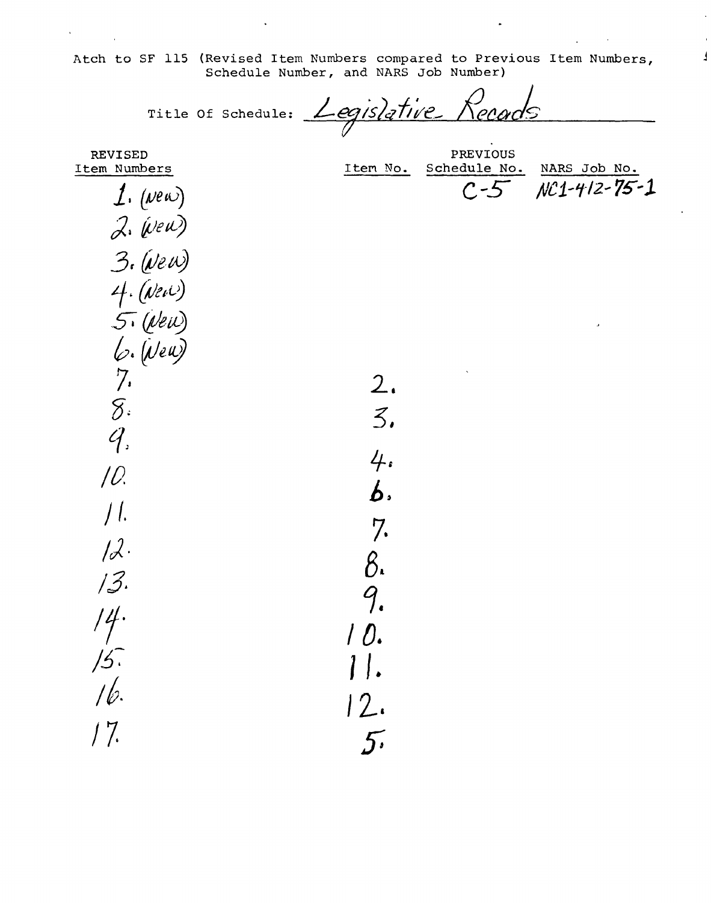Atch to SF 115 (Revised Item Numbers compared to Previous Item Numbers, Schedule Number, and NARS Job Number)

Legislative Title Of Schedule:

PREVIOUS Schedule No. NARS Job No. Item No.  $NC1 - 412 - 75 - 1$  $C - 5$ 

 $\rho$ r

1

| Numbers<br><u>Item</u>     |
|----------------------------|
| 1. (New)                   |
| $2.$ (New)                 |
| 3. (New)                   |
| $4.$ (New)                 |
| 5. (New)                   |
| (c. (New)                  |
| 7,                         |
| $\overline{\mathcal{S}}$ : |
| 4,                         |
| 10.                        |
| J I.                       |
| 12.                        |
| 13.                        |
|                            |
| $/4 \cdot$                 |
| $\sqrt{5}$ .               |
| Įb.                        |
| / 7.                       |
|                            |

REVISED

,

 $2.$  $\mathcal{Z}_{1}$ 4.  $\boldsymbol{b}$ . 7.  $\beta$ . 9.  $10.$  $\vert\vert$ .  $12.$ 

 $5.$